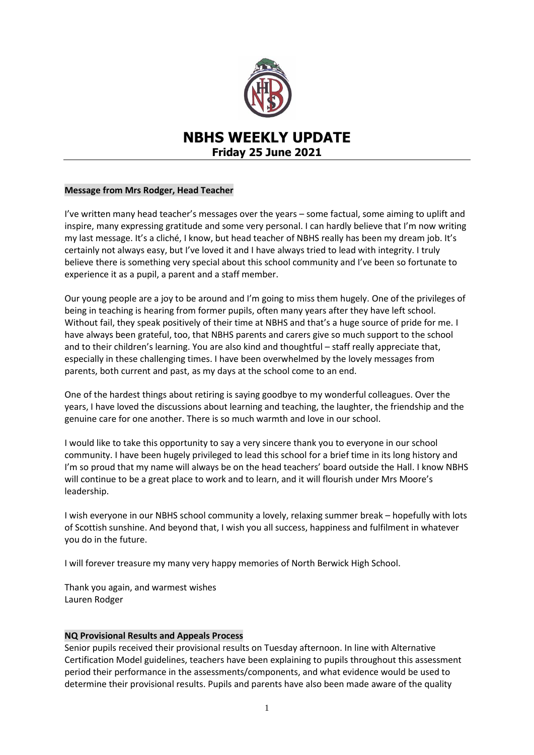

# **NBHS WEEKLY UPDATE Friday 25 June 2021**

#### **Message from Mrs Rodger, Head Teacher**

I've written many head teacher's messages over the years – some factual, some aiming to uplift and inspire, many expressing gratitude and some very personal. I can hardly believe that I'm now writing my last message. It's a cliché, I know, but head teacher of NBHS really has been my dream job. It's certainly not always easy, but I've loved it and I have always tried to lead with integrity. I truly believe there is something very special about this school community and I've been so fortunate to experience it as a pupil, a parent and a staff member.

Our young people are a joy to be around and I'm going to miss them hugely. One of the privileges of being in teaching is hearing from former pupils, often many years after they have left school. Without fail, they speak positively of their time at NBHS and that's a huge source of pride for me. I have always been grateful, too, that NBHS parents and carers give so much support to the school and to their children's learning. You are also kind and thoughtful – staff really appreciate that, especially in these challenging times. I have been overwhelmed by the lovely messages from parents, both current and past, as my days at the school come to an end.

One of the hardest things about retiring is saying goodbye to my wonderful colleagues. Over the years, I have loved the discussions about learning and teaching, the laughter, the friendship and the genuine care for one another. There is so much warmth and love in our school.

I would like to take this opportunity to say a very sincere thank you to everyone in our school community. I have been hugely privileged to lead this school for a brief time in its long history and I'm so proud that my name will always be on the head teachers' board outside the Hall. I know NBHS will continue to be a great place to work and to learn, and it will flourish under Mrs Moore's leadership.

I wish everyone in our NBHS school community a lovely, relaxing summer break – hopefully with lots of Scottish sunshine. And beyond that, I wish you all success, happiness and fulfilment in whatever you do in the future.

I will forever treasure my many very happy memories of North Berwick High School.

Thank you again, and warmest wishes Lauren Rodger

#### **NQ Provisional Results and Appeals Process**

Senior pupils received their provisional results on Tuesday afternoon. In line with Alternative Certification Model guidelines, teachers have been explaining to pupils throughout this assessment period their performance in the assessments/components, and what evidence would be used to determine their provisional results. Pupils and parents have also been made aware of the quality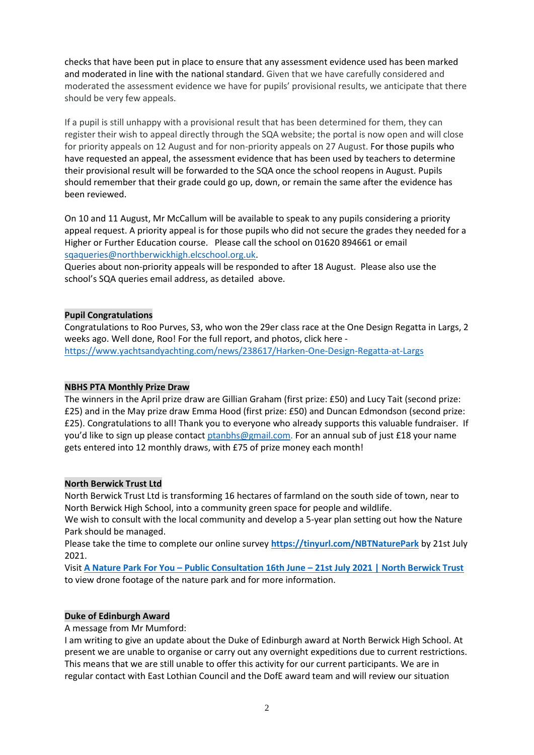checks that have been put in place to ensure that any assessment evidence used has been marked and moderated in line with the national standard. Given that we have carefully considered and moderated the assessment evidence we have for pupils' provisional results, we anticipate that there should be very few appeals.

If a pupil is still unhappy with a provisional result that has been determined for them, they can register their wish to appeal directly through the SQA website; the portal is now open and will close for priority appeals on 12 August and for non-priority appeals on 27 August. For those pupils who have requested an appeal, the assessment evidence that has been used by teachers to determine their provisional result will be forwarded to the SQA once the school reopens in August. Pupils should remember that their grade could go up, down, or remain the same after the evidence has been reviewed.

On 10 and 11 August, Mr McCallum will be available to speak to any pupils considering a priority appeal request. A priority appeal is for those pupils who did not secure the grades they needed for a Higher or Further Education course. Please call the school on 01620 894661 or email [sqaqueries@northberwickhigh.elcschool.org.uk.](mailto:sqaqueries@northberwickhigh.elcschool.org.uk)

Queries about non-priority appeals will be responded to after 18 August. Please also use the school's SQA queries email address, as detailed above.

#### **Pupil Congratulations**

Congratulations to Roo Purves, S3, who won the 29er class race at the One Design Regatta in Largs, 2 weeks ago. Well done, Roo! For the full report, and photos, click here <https://www.yachtsandyachting.com/news/238617/Harken-One-Design-Regatta-at-Largs>

#### **NBHS PTA Monthly Prize Draw**

The winners in the April prize draw are Gillian Graham (first prize: £50) and Lucy Tait (second prize: £25) and in the May prize draw Emma Hood (first prize: £50) and Duncan Edmondson (second prize: £25). Congratulations to all! Thank you to everyone who already supports this valuable fundraiser. If you'd like to sign up please contact [ptanbhs@gmail.com.](mailto:ptanbhs@gmail.com) For an annual sub of just £18 your name gets entered into 12 monthly draws, with £75 of prize money each month!

#### **North Berwick Trust Ltd**

North Berwick Trust Ltd is transforming 16 hectares of farmland on the south side of town, near to North Berwick High School, into a community green space for people and wildlife.

We wish to consult with the local community and develop a 5-year plan setting out how the Nature Park should be managed.

Please take the time to complete our online survey **<https://tinyurl.com/NBTNaturePark>** by 21st July 2021.

Visit **A Nature Park For You – Public Consultation 16th June – [21st July 2021 | North Berwick Trust](https://www.northberwicktrust.co.uk/a-nature-park-for-you-public-consultation-16th-june-21st-july-2021/)** to view drone footage of the nature park and for more information.

#### **Duke of Edinburgh Award**

A message from Mr Mumford:

I am writing to give an update about the Duke of Edinburgh award at North Berwick High School. At present we are unable to organise or carry out any overnight expeditions due to current restrictions. This means that we are still unable to offer this activity for our current participants. We are in regular contact with East Lothian Council and the DofE award team and will review our situation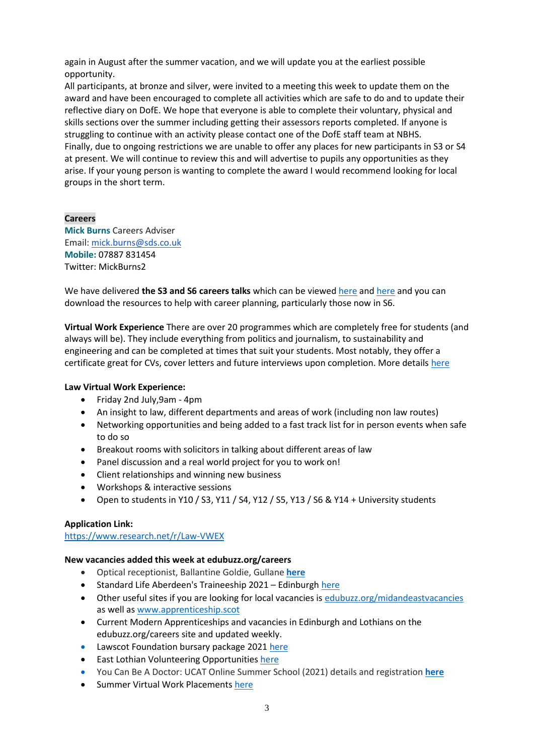again in August after the summer vacation, and we will update you at the earliest possible opportunity.

All participants, at bronze and silver, were invited to a meeting this week to update them on the award and have been encouraged to complete all activities which are safe to do and to update their reflective diary on DofE. We hope that everyone is able to complete their voluntary, physical and skills sections over the summer including getting their assessors reports completed. If anyone is struggling to continue with an activity please contact one of the DofE staff team at NBHS. Finally, due to ongoing restrictions we are unable to offer any places for new participants in S3 or S4 at present. We will continue to review this and will advertise to pupils any opportunities as they arise. If your young person is wanting to complete the award I would recommend looking for local groups in the short term.

## **Careers**

**Mick Burns** Careers Adviser Email: [mick.burns@sds.co.uk](https://mail.elcschool.org.uk/owa/redir.aspx?C=fbGa3DGVrsUoQB2CnJP23eXwMGzxu7J1CtarT6dTOwkq_NlpJujXCA..&URL=mailto%3amick.burns%40sds.co.uk) **Mobile:** 07887 831454 Twitter: MickBurns2

We have delivered **the S3 and S6 careers talks** which can be viewe[d here](https://www.edubuzz.org/careers/2021/05/12/s3-careers-talk-june-2021/) and [here](https://www.edubuzz.org/careers/2021/06/10/s6-careers-talk-june-2021/) and you can download the resources to help with career planning, particularly those now in S6.

**Virtual Work Experience** There are over 20 programmes which are completely free for students (and always will be). They include everything from politics and journalism, to sustainability and engineering and can be completed at times that suit your students. Most notably, they offer a certificate great for CVs, cover letters and future interviews upon completion. More detail[s here](https://www.edubuzz.org/careers/2021/06/16/virtual-work-experience/)

#### **Law Virtual Work Experience:**

- Friday 2nd July,9am 4pm
- An insight to law, different departments and areas of work (including non law routes)
- Networking opportunities and being added to a fast track list for in person events when safe to do so
- Breakout rooms with solicitors in talking about different areas of law
- Panel discussion and a real world project for you to work on!
- Client relationships and winning new business
- Workshops & interactive sessions
- Open to students in Y10 / S3, Y11 / S4, Y12 / S5, Y13 / S6 & Y14 + University students

#### **Application Link:**

[https://www.research.net/r/Law-VWEX](https://eur01.safelinks.protection.outlook.com/?url=https%3A%2F%2Fwww.research.net%2Fr%2FLaw-VWEX&data=04%7C01%7Cmick.burns%40sds.co.uk%7Ce9bafe63505b4ae67b8a08d9363200fe%7C33ca6d475e4f477484f1696cbb508cbe%7C0%7C1%7C637600410660259316%7CUnknown%7CTWFpbGZsb3d8eyJWIjoiMC4wLjAwMDAiLCJQIjoiV2luMzIiLCJBTiI6Ik1haWwiLCJXVCI6Mn0%3D%7C2000&sdata=rkVBZG0vdlEb%2FJegVCly9RNzpTxn7%2Fjo0yASUtq54fQ%3D&reserved=0)

#### **New vacancies added this week at edubuzz.org/careers**

- Optical receptionist, Ballantine Goldie, Gullane **[here](https://www.edubuzz.org/careers/2021/06/22/optical-receptionist-gullane/)**
- Standard Life Aberdeen's Traineeship 2021 Edinburgh [here](https://www.edubuzz.org/careers/2021/06/23/standard-life-aberdeens-traineeship-2021-edinburgh/)
- Other useful sites if you are looking for local vacancies is [edubuzz.org/midandeastvacancies](file:///C:/Users/burnsm/Desktop/edubuzz.org/midandeastvacancies) as well as [www.apprenticeship.scot](http://www.apprenticeship.scot/)
- Current Modern Apprenticeships and vacancies in Edinburgh and Lothians on the edubuzz.org/careers site and updated weekly.
- Lawscot Foundation bursary package 202[1 here](https://www.edubuzz.org/careers/2021/05/04/lawscot-foundation-bursary-package-2021/)
- **•** East Lothian Volunteering Opportunitie[s here](https://www.edubuzz.org/careers/2021/05/19/volunteering-with-can-do-east-lothian/)
- You Can Be A Doctor: UCAT Online Summer School (2021) details and registration **[here](https://www.edubuzz.org/careers/2021/06/03/you-can-be-a-doctor-ucat-online-summer-school-2021/)**
- Summer Virtual Work Placements [here](https://www.edubuzz.org/careers/2021/06/24/virtual-work-experience-placements/)